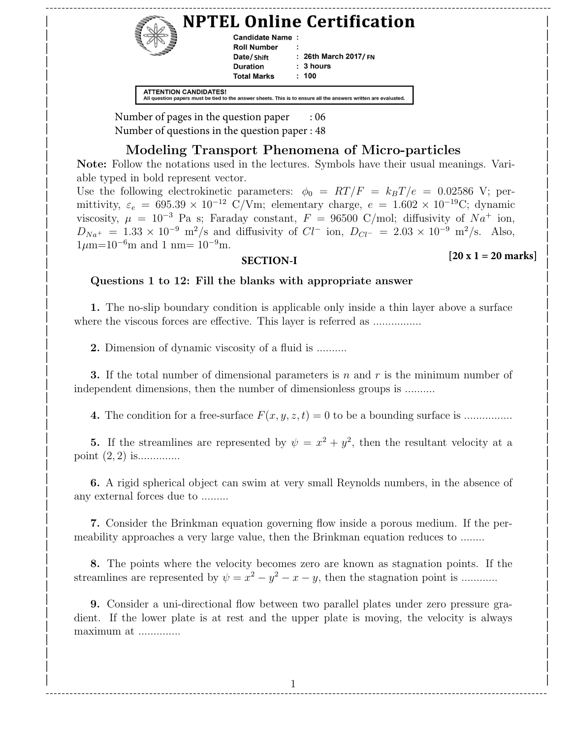| Candidate Name:    | <b>NPTEL Online Certification</b> |  |
|--------------------|-----------------------------------|--|
| <b>Roll Number</b> |                                   |  |
| Date/Shift         | : 26th March 2017/ $FN$           |  |
| <b>Duration</b>    | : 3 hours                         |  |
| <b>Total Marks</b> | : 100                             |  |

Number of pages in the question paper : 06 | | | Number of questions in the question paper : 48

### |<br>| Modeling Transport Phenomena of Micro-particles  $\blacksquare$   $\blacksquare$   $\blacksquare$   $\blacksquare$   $\blacksquare$   $\blacksquare$   $\blacksquare$   $\blacksquare$   $\blacksquare$   $\blacksquare$   $\blacksquare$   $\blacksquare$   $\blacksquare$   $\blacksquare$   $\blacksquare$   $\blacksquare$   $\blacksquare$   $\blacksquare$   $\blacksquare$   $\blacksquare$   $\blacksquare$   $\blacksquare$   $\blacksquare$   $\blacksquare$   $\blacksquare$   $\blacksquare$   $\blacksquare$   $\blacksquare$   $\blacksquare$   $\blacksquare$   $\blacksquare$   $\blacks$

Note: Follow the notations used in the lectures. Symbols have their usual meanings. Variable typed in bold represent vector. able typed in bold represent vector.<br>
The change of the change of the contract of the contract of the contract of the contract of the contract of the contract of the contract of the contract of the contract of the contract

Use the following electrokinetic parameters:  $\phi_0 = RT/F = k_BT/e = 0.02586$  V; per- $\psi_0 = \frac{\text{cos} \cos \theta}{\text{cos} \cos \theta}$  is the following electrokinetic parameters:  $\psi_0 = \frac{\text{tan} \cos \theta}{\text{tan} \theta}$  =  $\frac{\text{tan} \cos \theta}{\text{tan} \theta}$  =  $\frac{\text{tan} \cos \theta}{\text{tan} \theta}$  =  $\frac{\text{tan} \cos \theta}{\text{tan} \theta}$  =  $\frac{\text{tan} \cos \theta}{\text{tan} \theta}$  =  $\frac{\text{tan} \cos \theta}{\text{tan$  $V$  mittivity,  $\varepsilon_e = 0.95.39 \times 10^{-6}$  C/vm; elementary charge,  $e = 1.002 \times 10^{-6}$ ; dynamic<br>isosity,  $\mu = 10^{-3}$  Pa s; Faraday constant,  $F = 96500$  C/mol; diffusivity of  $Na^+$  ion,  $D_{Na^+} = 1.33 \times 10^{-9} \text{ m}^2/\text{s}$  and diffusivity of  $Cl^-$  ion,  $D_{Cl^-} = 2.03 \times 10^{-9} \text{ m}^2/\text{s}$ . Also,  $1\mu$ m=10<sup>-6</sup>m and 1 nm= 10<sup>-9</sup>m.<br>  $\left[20 \times 1 - 20 \text{ m}$  $\mu = 10$  ra s; raraday constant,  $r = 9000$  C/mor; diffusivity of  $Na$  fon,

#### **SECTION-I**  $\left| \text{SECTION-1} \right|$

#### **[20 x 1 = 20 marks]**

### $\Box$  Questions 1 to 12: Fill the blanks with appropriate answer | |

1. The no-slip boundary condition is applicable only inside a thin layer above a surface where the viscous forces are effective. This layer is referred as ................ | |  $\mathcal{L}$  , and the contract of the contract of the contract of the contract of the contract of the contract of the contract of the contract of the contract of the contract of the contract of the contract of the contract o

**2.** Dimension of dynamic viscosity of a fluid is ..........  $\mathcal{L}$  and  $\mathcal{L}$  and  $\mathcal{L}$  and  $\mathcal{L}$  and  $\mathcal{L}$  and  $\mathcal{L}$  and  $\mathcal{L}$  and  $\mathcal{L}$  and  $\mathcal{L}$  and  $\mathcal{L}$  and  $\mathcal{L}$  and  $\mathcal{L}$  and  $\mathcal{L}$  and  $\mathcal{L}$  and  $\mathcal{L}$  and  $\mathcal{L}$  and  $\mathcal{L}$  and

3. If the total number of dimensional parameters is n and r is the minimum number of | independent dimensions, then the number of dimensionless groups is .........  $\mathbf{C} = \mathbf{C} \cdot \mathbf{R}$  and  $\mathbf{C} = \mathbf{C} \cdot \mathbf{R}$  and  $\mathbf{C} = \mathbf{C} \cdot \mathbf{R}$  and  $\mathbf{C} = \mathbf{C} \cdot \mathbf{R}$  and  $\mathbf{C} = \mathbf{C} \cdot \mathbf{R}$  and  $\mathbf{C} = \mathbf{C} \cdot \mathbf{R}$  and  $\mathbf{C} = \mathbf{C} \cdot \mathbf{R}$  and  $\mathbf{C} = \mathbf{C} \cdot \mathbf{R}$  a

4. The condition for a free-surface F(x, y, z, t) = 0 to be a bounding surface is ................ | |  $\left(\frac{1}{2},\frac{1}{2},\frac{1}{2}\right)$ 

5. If the streamlines are represented by  $\psi = x^2 + y^2$ , then the resultant velocity at a  $\text{point } (2, 2) \text{ is.}$  $\mathbf{r}$  and  $\mathbf{r}$  and  $\mathbf{r}$  and  $\mathbf{r}$  and  $\mathbf{r}$  and  $\mathbf{r}$  and  $\mathbf{r}$  and  $\mathbf{r}$  and  $\mathbf{r}$  and  $\mathbf{r}$  and  $\mathbf{r}$  and  $\mathbf{r}$  and  $\mathbf{r}$  and  $\mathbf{r}$  and  $\mathbf{r}$  and  $\mathbf{r}$  and  $\mathbf{r}$  and

 $\begin{bmatrix} 6. \end{bmatrix}$  A rigid spherical object can swim at very small Reynolds numbers, in the absence of any external forces due to ......... | | | |

7. Consider the Brinkman equation governing flow inside a porous medium. If the per-|<br>| meability approaches a very large value, then the Brinkman equation reduces to ....... | |

8. The points where the velocity becomes zero are known as stagnation points. If the streamlines are represented by  $\psi = x^2 - y^2 - x - y$ , then the stagnation point is ...........  $\int_{\mathbb{R}}$  is consistent to be problemed by  $\int_{\mathbb{R}}$  and  $\int_{\mathbb{R}}$  and  $\int_{\mathbb{R}}$  and  $\int_{\mathbb{R}}$  and  $\int_{\mathbb{R}}$  and  $\int_{\mathbb{R}}$  and  $\int_{\mathbb{R}}$  and  $\int_{\mathbb{R}}$  and  $\int_{\mathbb{R}}$  and  $\int_{\mathbb{R}}$  and  $\int_{\mathbb{R}}$  and

9. Consider a uni-directional flow between two parallel plates under zero pressure gradient. If the lower plate is at rest and the upper plate is moving, the velocity is always maximum at .............. | about it the force place is at 1000 and the appel place is moving, the velocity is always | |

| | | |

1 | | ------------------------------------------------------------------------------------------------------------------------------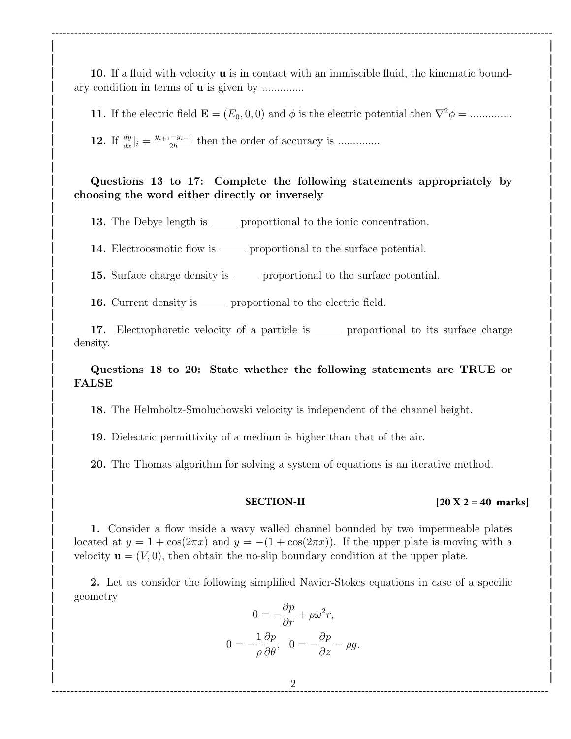10. If a fluid with velocity **u** is in contact with an immiscible fluid, the kinematic bound-| ary condition in terms of **u** is given by ..............

11. If the electric field  $\mathbf{E} = (E_0, 0, 0)$  and  $\phi$  is the electric potential then  $\nabla^2 \phi =$  ............... **| | | |**

**----------------------------------------------------------------------------------------------------------------------------------- | | | |**

**12.** If  $\frac{dy}{dx}|_i = \frac{y_{i+1}-y_{i-1}}{2h}$ **12.** If  $\frac{dy}{dx}|_i = \frac{y_{i+1} - y_{i-1}}{2h}$  then the order of accuracy is ............... **| |**

## Questions 13 to 17: Complete the following statements appropriately by **| |** choosing the word either directly or inversely **| |**

**| |**

**| |**

**| |**

**| |**

**| |**

**| |**

**| |**

**| |**

**| |**

**| |**

**| | | |**

**| |**

**| |**

**13.** The Debye length is <u>equal proportional</u> to the ionic concentration.

14. Electroosmotic flow is <u>equilibrium</u> proportional to the surface potential.

15. Surface charge density is <u>equilibrium</u> proportional to the surface potential.

**16.** Current density is <u>equilibrium</u> proportional to the electric field.

17. Electrophoretic velocity of a particle is <u>equal proportional</u> to its surface charge density. **| |**

Questions 18 to 20: State whether the following statements are TRUE or **| |** FALSE **| |**

18. The Helmholtz-Smoluchowski velocity is independent of the channel height. **| |**

19. Dielectric permittivity of a medium is higher than that of the air.

**20.** The Thomas algorithm for solving a system of equations is an iterative method.

#### **SECTION-II**

#### **[20 X 2 = 40 marks] | |**

1. Consider a flow inside a wavy walled channel bounded by two impermeable plates **| |** | located at  $y = 1 + \cos(2\pi x)$  and  $y = -(1 + \cos(2\pi x))$ . If the upper plate is moving with a velocity  $\mathbf{u} = (V, 0)$ , then obtain the no-slip boundary condition at the upper plate.

**2.** Let us consider the following simplified Navier-Stokes equations in case of a specific  $\blacksquare$ geometry **| |**

$$
0 = -\frac{\partial p}{\partial r} + \rho \omega^2 r,
$$
  
\n
$$
0 = -\frac{1}{\rho} \frac{\partial p}{\partial \theta}, \quad 0 = -\frac{\partial p}{\partial z} - \rho g.
$$

**| |**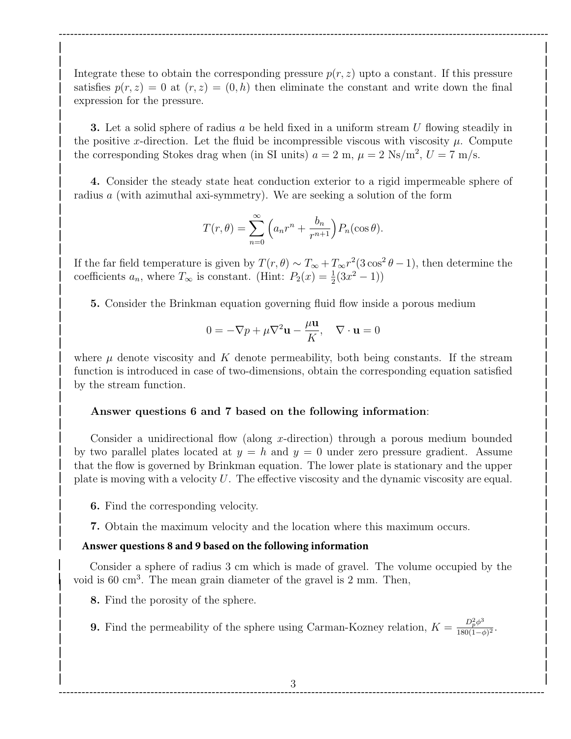Integrate these to obtain the corresponding pressure  $p(r, z)$  upto a constant. If this pressure satisfies  $p(r, z) = 0$  at  $(r, z) = (0, h)$  then eliminate the constant and write down the final expression for the pressure. **| |**

**-------------------------------------------------------------------------------------------------------------------------------- | | | |**

**3.** Let a solid sphere of radius a be held fixed in a uniform stream U flowing steadily in the positive x-direction. Let the fluid be incompressible viscous with viscosity  $\mu$ . Compute the corresponding Stokes drag when (in SI units)  $a = 2 \text{ m}, \mu = 2 \text{ Ns/m}^2, U = 7 \text{ m/s}.$ 

**| |**

**| |**

1. Consider the steady state heat conduction exterior to a rigid impermeable sphere of | radius a (with azimuthal axi-symmetry). We are seeking a solution of the form

$$
T(r,\theta) = \sum_{n=0}^{\infty} \left( a_n r^n + \frac{b_n}{r^{n+1}} \right) P_n(\cos \theta).
$$

If the far field temperature is given by  $T(r, \theta) \sim T_{\infty} + T_{\infty} r^2 (3 \cos^2 \theta - 1)$ , then determine the coefficients  $a_n$ , where  $T_\infty$  is constant. (Hint:  $P_2(x) = \frac{1}{2}(3x^2 - 1)$ )

**| |**

**5.** Consider the Brinkman equation governing fluid flow inside a porous medium

$$
0 = -\nabla p + \mu \nabla^2 \mathbf{u} - \frac{\mu \mathbf{u}}{K}, \quad \nabla \cdot \mathbf{u} = 0
$$

where  $\mu$  denote viscosity and K denote permeability, both being constants. If the stream function is introduced in case of two-dimensions, obtain the corresponding equation satisfied **| |** by the stream function. **| |**

**| |**

**| |**

**| |**

### | Answer questions 6 and 7 based on the following information:

Consider a unidirectional flow (along x-direction) through a porous medium bounded **| |** by two parallel plates located at  $y = h$  and  $y = 0$  under zero pressure gradient. Assume | that the flow is governed by Brinkman equation. The lower plate is stationary and the upper | plate is moving with a velocity U. The effective viscosity and the dynamic viscosity are equal.

- 6. Find the corresponding velocity. **| |**
- **7.** Obtain the maximum velocity and the location where this maximum occurs. **| |**

# **| | Answer questions 8 and 9 based on the following information**

Consider a sphere of radius 3 cm which is made of gravel. The volume occupied by the **<sup>|</sup><sup>|</sup>** poid is 60 cm<sup>3</sup>. The mean grain diameter of the gravel is 2 mm. Then,

8. Find the porosity of the sphere. **| | | |**

**9.** Find the permeability of the sphere using Carman-Kozney relation,  $K = \frac{D_p^2 \phi^3}{180(1-\epsilon)}$ **9.** Find the permeability of the sphere using Carman-Kozney relation,  $K = \frac{D_p^2 \phi^3}{180(1-\phi)^2}$ .  $\log(1-\varphi)$ 

**| | | |**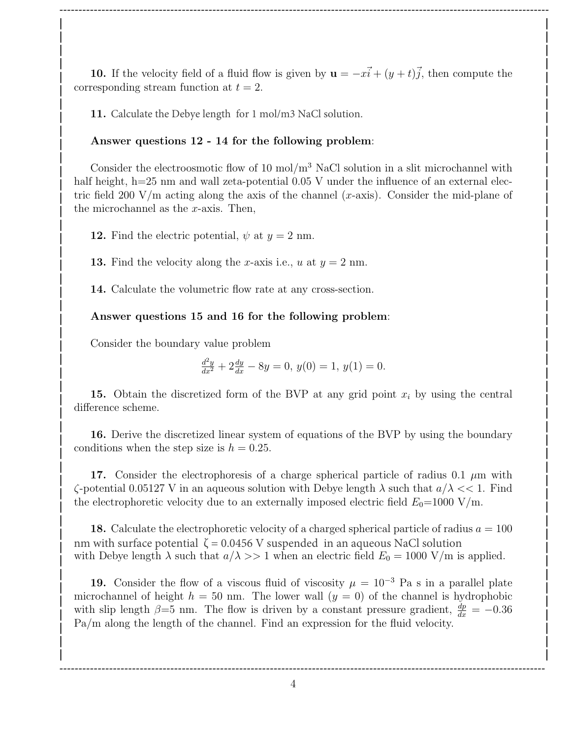10. If the velocity field of a fluid flow is given by  $\mathbf{u} = -x\vec{i} + (y+t)\vec{j}$ , then compute the corresponding stream function at  $t = 2$ . **10.** If the velocity field of a fluid flow is given by  $\mathbf{u} = -x\mathbf{i} + (\mathbf{j} + \mathbf{t})\mathbf{j}$ , then compute the

**-------------------------------------------------------------------------------------------------------------------------------- | | | | | |**

**11.** Calculate the Debye length for 1 mol/m3 NaCl solution. **| |**

### Answer questions 12 - 14 for the following problem: **| | | |**

Consider the electroosmotic flow of 10 mol $/m<sup>3</sup>$  NaCl solution in a slit microchannel with | half height, h=25 nm and wall zeta-potential 0.05 V under the influence of an external elecif tric field 200 V/m acting along the axis of the channel  $(x$ -axis). Consider the mid-plane of the microchannel as the x-axis. Then,  $\qquad$   $\qquad$   $\qquad$   $\qquad$   $\qquad$   $\qquad$   $\qquad$   $\qquad$   $\qquad$   $\qquad$   $\qquad$   $\qquad$   $\qquad$   $\qquad$   $\qquad$   $\qquad$   $\qquad$   $\qquad$   $\qquad$   $\qquad$   $\qquad$   $\qquad$   $\qquad$   $\qquad$   $\qquad$   $\qquad$   $\qquad$   $\qquad$   $\qquad$   $\qquad$   $\q$ **| |** | Consider the electroosmotic flow of 10 mol/m<sup>o</sup> NaCl solution in a slit microchannel with

**12.** Find the electric potential,  $\psi$  at  $y = 2$  nm. **| |**

**13.** Find the velocity along the x-axis i.e.,  $u$  at  $y = 2$  nm. **| |**

14. Calculate the volumetric flow rate at any cross-section. **| | | |**

### Answer questions 15 and 16 for the following problem: **| | | |**

Consider the boundary value problem **| | | |**

$$
\frac{d^2y}{dx^2} + 2\frac{dy}{dx} - 8y = 0, \ y(0) = 1, \ y(1) = 0.
$$

15. Obtain the discretized form of the BVP at any grid point  $x_i$  by using the central difference scheme. **| | 10.** Obtain the discretized form of the DVI at any grid point  $x_i$  by using the central **| |**

16. Derive the discretized linear system of equations of the BVP by using the boundary conditions when the step size is  $h = 0.25$ . **| | 10.** Derive the discretized linear system of equations of the DV1 by using the boundary

17. Consider the electrophoresis of a charge spherical particle of radius 0.1  $\mu$ m with  $\zeta$ -potential 0.05127 V in an aqueous solution with Debye length  $\lambda$  such that  $a/\lambda \ll 1$ . Find  $\zeta$ the electrophoretic velocity due to an externally imposed electric field  $E_0$ =1000 V/m. **| | 16.** Consider the electrophoresis of a charge spherical particle of radius 0.1  $\mu$ m with

18. Calculate the electrophoretic velocity of a charged spherical particle of radius  $a = 100$ with Debye length  $\lambda$  such that  $a/\lambda >> 1$  when an electric field  $E_0 = 1000 \text{ V/m}$  is applied. **| |**  $\blacksquare$  **10.** Calculate the electrophotetic velocity of a charged spherical particle of radius  $a = 100$  $\int$  nm with surface potential  $\zeta = 0.0456$  V suspended in an aqueous NaCl solution

19. Consider the flow of a viscous fluid of viscosity  $\mu = 10^{-3}$  Pa s in a parallel plate microchannel of height  $h = 50$  nm. The lower wall  $(y = 0)$  of the channel is hydrophobic with slip length  $\beta = 5$  nm. The flow is driven by a constant pressure gradient,  $\frac{dp}{dx} = -0.36$ Pa/m along the length of the channel. Find an expression for the fluid velocity. **13.** Consider the now of a viscous nuite of viscosity  $\mu = 10$  and a parameter plate

**| | | | -------------------------------------------------------------------------------------------------------------------------------**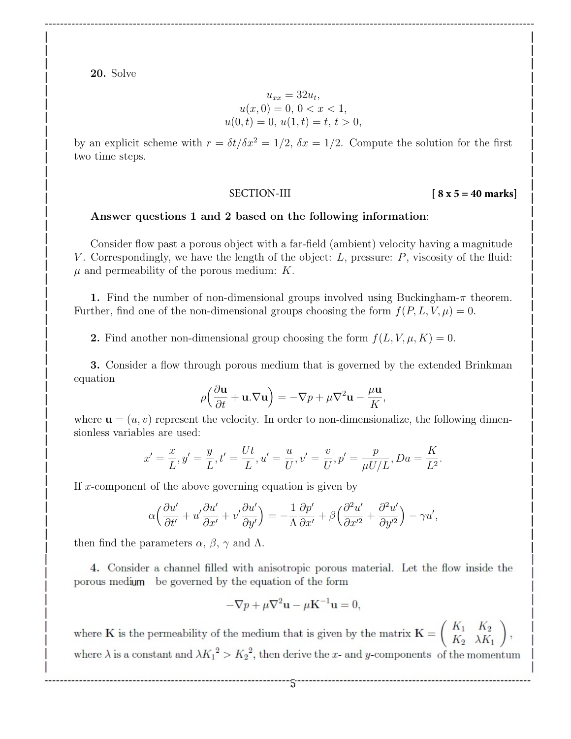20. Solve **| | 20.** Solve

$$
\begin{array}{ccc}\n & u_{xx} = 32u_t, \\
u(x, 0) = 0, 0 < x < 1, \\
u(0, t) = 0, u(1, t) = t, t > 0,\n\end{array}
$$

**-------------------------------------------------------------------------------------------------------------------------------- | | | |**

by an explicit scheme with  $r = \delta t / \delta x^2 = 1/2$ ,  $\delta x = 1/2$ . Compute the solution for the first two time steps. **| |**

**| |**

#### SECTION-III **[ 8 x 5 = 40 marks] | | | |**

**| | | |**

### Answer questions 1 and 2 based on the following information: **| | | |**

Consider flow past a porous object with a far-field (ambient) velocity having a magnitude **| |** V . Correspondingly, we have the length of the object: L, pressure: P, viscosity of the fluid: **| |**  $\mu$  and permeability of the porous medium:  $K$ .  $\mu$  and permeability of the persual medium:  $\vec{k}$ **| |**

1. Find the number of non-dimensional groups involved using Buckingham-π theorem. **| |** Further, find one of the non-dimensional groups choosing the form  $f(P, L, V, \mu) = 0$ . **| |**

2. Find another non-dimensional group choosing the form  $f(L, V, \mu, K) = 0$ .  $\bullet$  **1**  $\bullet$  **a**  $\bullet$  **h**  $\bullet$  **h**  $\bullet$  **h**  $\bullet$  **h**  $\bullet$  **h**  $\bullet$  **h**  $\bullet$  **h**  $\bullet$  **h**  $\bullet$  **h**  $\bullet$  **h**  $\bullet$  **h**  $\bullet$  **h**  $\bullet$  **h**  $\bullet$  **h**  $\bullet$  **h**  $\bullet$  **h**  $\bullet$  **h**  $\bullet$  **h**  $\bullet$  **h**  $\bullet$  **h**  $\bullet$  **h**  $\bullet$  **h**  $\bullet$ 

3. Consider a flow through porous medium that is governed by the extended Brinkman **| |** equation **a b b b b b b constant a hot constant b constant constant constant b constant constant constant constant constant constant constant constant constant constant constant**

$$
\rho\Big(\frac{\partial \mathbf{u}}{\partial t} + \mathbf{u}.\nabla \mathbf{u}\Big) = -\nabla p + \mu \nabla^2 \mathbf{u} - \frac{\mu \mathbf{u}}{K},
$$

where  $\mathbf{u} = (u, v)$  represent the velocity. In order to non-dimensionalize, the following dimensionless variables are used:  $\binom{10,0}{2}$  **log**  $\binom{10,0}{2}$  **log**  $\binom{10,0}{2}$  **log**  $\binom{10,0}{2}$  **log**  $\binom{10,0}{2}$  **log**  $\binom{10,0}{2}$  **log**  $\binom{10,0}{2}$  **log**  $\binom{10,0}{2}$  **log**  $\binom{10,0}{2}$  **log**  $\binom{10,0}{2}$  **log**  $\binom{10,0}{2}$  **log | |**

$$
x' = \frac{x}{L}, y' = \frac{y}{L}, t' = \frac{Ut}{L}, u' = \frac{u}{U}, v' = \frac{v}{U}, p' = \frac{p}{\mu U/L}, Da = \frac{K}{L^2}.
$$

If x-component of the above governing equation is given by **| |**  $\frac{1}{2}$  **leads** to the above governing equation is given by

$$
\alpha \left( \frac{\partial u'}{\partial t'} + u' \frac{\partial u'}{\partial x'} + v' \frac{\partial u'}{\partial y'} \right) = -\frac{1}{\Lambda} \frac{\partial p'}{\partial x'} + \beta \left( \frac{\partial^2 u'}{\partial x'^2} + \frac{\partial^2 u'}{\partial y'^2} \right) - \gamma u',
$$

then find the parameters  $\alpha$ ,  $\beta$ ,  $\gamma$  and  $\Lambda$ . **| |**

**|** 

|<br>**4.** Consider a channel filled with anisotropic porous material. Let the flow inside the porous medium be governed by the equation of the form

$$
-\nabla p + \mu \nabla^2 \mathbf{u} - \mu \mathbf{K}^{-1} \mathbf{u} = 0,
$$

where K is the permeability of the medium that is given by the metrix  $K = \begin{pmatrix} K_1 & K_2 \end{pmatrix}$  $\left[\begin{array}{cc} K_2 & \lambda K_1 \end{array}\right]$   $\left[\begin{array}{cc} K_2 & \lambda K_1 \end{array}\right]$ where  $\lambda$  is a constant and  $\lambda K_1^2 > K_2^2$ , then derive the x- and y-components of the momentum